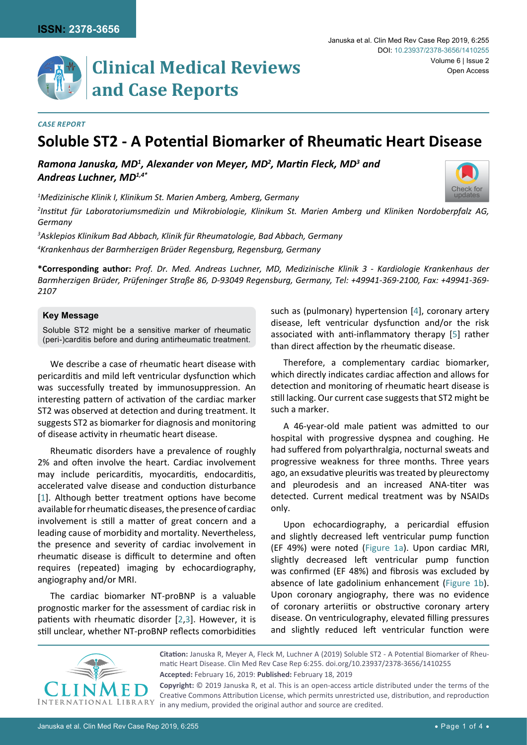[Check for](http://crossmark.crossref.org/dialog/?doi=10.23937/2378-3656/1410255&domain=pdf) updates



# **Clinical Medical Reviews and Case Reports**

### *Case Report*

### **Soluble ST2 - A Potential Biomarker of Rheumatic Heart Disease**

*Ramona Januska, MD1 , Alexander von Meyer, MD2 , Martin Fleck, MD<sup>3</sup> and Andreas Luchner, MD1,4\**

*1 Medizinische Klinik I, Klinikum St. Marien Amberg, Amberg, Germany*

*2 Institut für Laboratoriumsmedizin und Mikrobiologie, Klinikum St. Marien Amberg und Kliniken Nordoberpfalz AG, Germany*

*3 Asklepios Klinikum Bad Abbach, Klinik für Rheumatologie, Bad Abbach, Germany*

*4 Krankenhaus der Barmherzigen Brüder Regensburg, Regensburg, Germany*

**\*Corresponding author:** *Prof. Dr. Med. Andreas Luchner, MD, Medizinische Klinik 3 - Kardiologie Krankenhaus der Barmherzigen Brüder, Prüfeninger Straße 86, D-93049 Regensburg, Germany, Tel: +49941-369-2100, Fax: +49941-369- 2107*

### **Key Message**

Soluble ST2 might be a sensitive marker of rheumatic (peri-)carditis before and during antirheumatic treatment.

We describe a case of rheumatic heart disease with pericarditis and mild left ventricular dysfunction which was successfully treated by immunosuppression. An interesting pattern of activation of the cardiac marker ST2 was observed at detection and during treatment. It suggests ST2 as biomarker for diagnosis and monitoring of disease activity in rheumatic heart disease.

Rheumatic disorders have a prevalence of roughly 2% and often involve the heart. Cardiac involvement may include pericarditis, myocarditis, endocarditis, accelerated valve disease and conduction disturbance [[1](#page-2-2)]. Although better treatment options have become available for rheumatic diseases, the presence of cardiac involvement is still a matter of great concern and a leading cause of morbidity and mortality. Nevertheless, the presence and severity of cardiac involvement in rheumatic disease is difficult to determine and often requires (repeated) imaging by echocardiography, angiography and/or MRI.

The cardiac biomarker NT-proBNP is a valuable prognostic marker for the assessment of cardiac risk in patients with rheumatic disorder [[2,](#page-2-3)[3](#page-2-4)]. However, it is still unclear, whether NT-proBNP reflects comorbidities

such as (pulmonary) hypertension [\[4](#page-2-0)], coronary artery disease, left ventricular dysfunction and/or the risk associated with anti-inflammatory therapy [\[5](#page-2-1)] rather than direct affection by the rheumatic disease.

Therefore, a complementary cardiac biomarker, which directly indicates cardiac affection and allows for detection and monitoring of rheumatic heart disease is still lacking. Our current case suggests that ST2 might be such a marker.

A 46-year-old male patient was admitted to our hospital with progressive dyspnea and coughing. He had suffered from polyarthralgia, nocturnal sweats and progressive weakness for three months. Three years ago, an exsudative pleuritis was treated by pleurectomy and pleurodesis and an increased ANA-titer was detected. Current medical treatment was by NSAIDs only.

Upon echocardiography, a pericardial effusion and slightly decreased left ventricular pump function (EF 49%) were noted ([Figure 1a\)](#page-1-0). Upon cardiac MRI, slightly decreased left ventricular pump function was confirmed (EF 48%) and fibrosis was excluded by absence of late gadolinium enhancement ([Figure 1b\)](#page-1-0). Upon coronary angiography, there was no evidence of coronary arteriitis or obstructive coronary artery disease. On ventriculography, elevated filling pressures and slightly reduced left ventricular function were



**Citation:** Januska R, Meyer A, Fleck M, Luchner A (2019) Soluble ST2 - A Potential Biomarker of Rheumatic Heart Disease. Clin Med Rev Case Rep 6:255. [doi.org/10.23937/2378-3656/1410255](https://doi.org/10.23937/2378-3656/1410255) **Accepted:** February 16, 2019: **Published:** February 18, 2019

**Copyright:** © 2019 Januska R, et al. This is an open-access article distributed under the terms of the Creative Commons Attribution License, which permits unrestricted use, distribution, and reproduction in any medium, provided the original author and source are credited.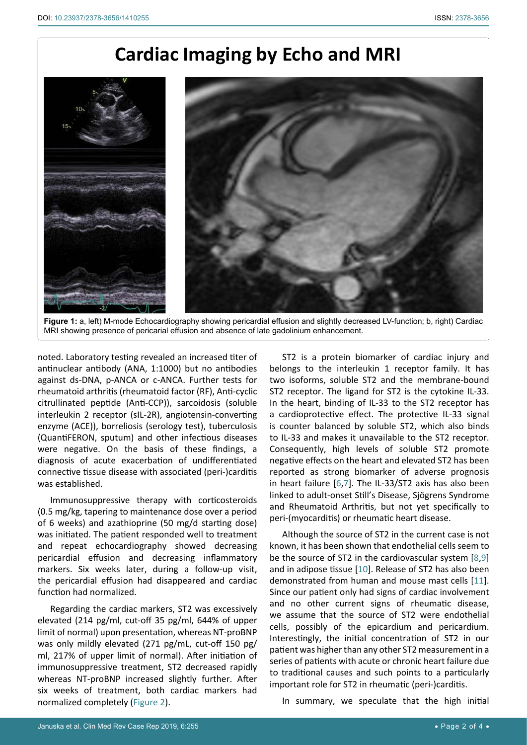## **Cardiac Imaging by Echo and MRI**

<span id="page-1-0"></span>

**Figure 1:** a, left) M-mode Echocardiography showing pericardial effusion and slightly decreased LV-function; b, right) Cardiac MRI showing presence of pericarial effusion and absence of late gadolinium enhancement.

noted. Laboratory testing revealed an increased titer of antinuclear antibody (ANA, 1:1000) but no antibodies against ds-DNA, p-ANCA or c-ANCA. Further tests for rheumatoid arthritis (rheumatoid factor (RF), Anti-cyclic citrullinated peptide (Anti-CCP)), sarcoidosis (soluble interleukin 2 receptor (sIL-2R), angiotensin-converting enzyme (ACE)), borreliosis (serology test), tuberculosis (QuantiFERON, sputum) and other infectious diseases were negative. On the basis of these findings, a diagnosis of acute exacerbation of undifferentiated connective tissue disease with associated (peri-)carditis was established.

Immunosuppressive therapy with corticosteroids (0.5 mg/kg, tapering to maintenance dose over a period of 6 weeks) and azathioprine (50 mg/d starting dose) was initiated. The patient responded well to treatment and repeat echocardiography showed decreasing pericardial effusion and decreasing inflammatory markers. Six weeks later, during a follow-up visit, the pericardial effusion had disappeared and cardiac function had normalized.

Regarding the cardiac markers, ST2 was excessively elevated (214 pg/ml, cut-off 35 pg/ml, 644% of upper limit of normal) upon presentation, whereas NT-proBNP was only mildly elevated (271 pg/mL, cut-off 150 pg/ ml, 217% of upper limit of normal). After initiation of immunosuppressive treatment, ST2 decreased rapidly whereas NT-proBNP increased slightly further. After six weeks of treatment, both cardiac markers had normalized completely ([Figure 2\)](#page-2-7).

ST2 is a protein biomarker of cardiac injury and belongs to the interleukin 1 receptor family. It has two isoforms, soluble ST2 and the membrane-bound ST2 receptor. The ligand for ST2 is the cytokine IL-33. In the heart, binding of IL-33 to the ST2 receptor has a cardioprotective effect. The protective IL-33 signal is counter balanced by soluble ST2, which also binds to IL-33 and makes it unavailable to the ST2 receptor. Consequently, high levels of soluble ST2 promote negative effects on the heart and elevated ST2 has been reported as strong biomarker of adverse prognosis in heart failure [[6](#page-2-5),[7\]](#page-2-6). The IL-33/ST2 axis has also been linked to adult-onset Still's Disease, Sjögrens Syndrome and Rheumatoid Arthritis, but not yet specifically to peri-(myocarditis) or rheumatic heart disease.

Although the source of ST2 in the current case is not known, it has been shown that endothelial cells seem to be the source of ST2 in the cardiovascular system [\[8](#page-3-0),[9](#page-3-1)] and in adipose tissue [[10](#page-3-2)]. Release of ST2 has also been demonstrated from human and mouse mast cells [[11](#page-3-3)]. Since our patient only had signs of cardiac involvement and no other current signs of rheumatic disease, we assume that the source of ST2 were endothelial cells, possibly of the epicardium and pericardium. Interestingly, the initial concentration of ST2 in our patient was higher than any other ST2 measurement in a series of patients with acute or chronic heart failure due to traditional causes and such points to a particularly important role for ST2 in rheumatic (peri-)carditis.

In summary, we speculate that the high initial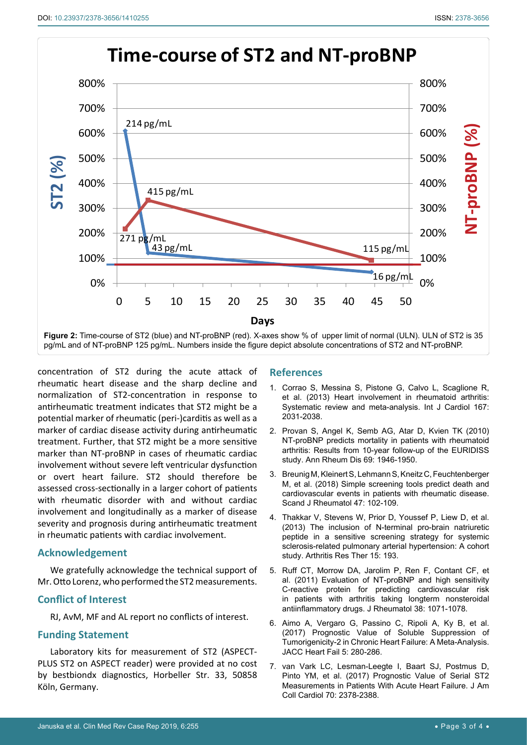<span id="page-2-7"></span>

concentration of ST2 during the acute attack of rheumatic heart disease and the sharp decline and normalization of ST2-concentration in response to antirheumatic treatment indicates that ST2 might be a potential marker of rheumatic (peri-)carditis as well as a marker of cardiac disease activity during antirheumatic treatment. Further, that ST2 might be a more sensitive marker than NT-proBNP in cases of rheumatic cardiac involvement without severe left ventricular dysfunction or overt heart failure. ST2 should therefore be assessed cross-sectionally in a larger cohort of patients with rheumatic disorder with and without cardiac involvement and longitudinally as a marker of disease severity and prognosis during antirheumatic treatment in rheumatic patients with cardiac involvement.

### **Acknowledgement**

We gratefully acknowledge the technical support of Mr. Otto Lorenz, who performed the ST2 measurements.

### **Conflict of Interest**

RJ, AvM, MF and AL report no conflicts of interest.

#### **Funding Statement**

Laboratory kits for measurement of ST2 (ASPECT-PLUS ST2 on ASPECT reader) were provided at no cost by bestbiondx diagnostics, Horbeller Str. 33, 50858 Köln, Germany.

### **References**

- <span id="page-2-2"></span>1. [Corrao S, Messina S, Pistone G, Calvo L, Scaglione R,](https://www.ncbi.nlm.nih.gov/pubmed/22703938)  [et al. \(2013\) Heart involvement in rheumatoid arthritis:](https://www.ncbi.nlm.nih.gov/pubmed/22703938)  [Systematic review and meta-analysis. Int J Cardiol 167:](https://www.ncbi.nlm.nih.gov/pubmed/22703938)  [2031-2038.](https://www.ncbi.nlm.nih.gov/pubmed/22703938)
- <span id="page-2-3"></span>2. [Provan S, Angel K, Semb AG, Atar D, Kvien TK \(2010\)](https://www.ncbi.nlm.nih.gov/pubmed/20525846)  [NT-proBNP predicts mortality in patients with rheumatoid](https://www.ncbi.nlm.nih.gov/pubmed/20525846)  [arthritis: Results from 10-year follow-up of the EURIDISS](https://www.ncbi.nlm.nih.gov/pubmed/20525846)  [study. Ann Rheum Dis 69: 1946-1950.](https://www.ncbi.nlm.nih.gov/pubmed/20525846)
- <span id="page-2-4"></span>3. [Breunig M, Kleinert S, Lehmann S, Kneitz C, Feuchtenberger](https://www.ncbi.nlm.nih.gov/pubmed/28812405)  [M, et al. \(2018\) Simple screening tools predict death and](https://www.ncbi.nlm.nih.gov/pubmed/28812405)  [cardiovascular events in patients with rheumatic disease.](https://www.ncbi.nlm.nih.gov/pubmed/28812405)  [Scand J Rheumatol 47: 102-109.](https://www.ncbi.nlm.nih.gov/pubmed/28812405)
- <span id="page-2-0"></span>4. [Thakkar V, Stevens W, Prior D, Youssef P,](https://www.ncbi.nlm.nih.gov/pubmed/24246100) Liew D, et al. [\(2013\) The inclusion of N-terminal pro-brain natriuretic](https://www.ncbi.nlm.nih.gov/pubmed/24246100)  [peptide in a sensitive screening strategy for systemic](https://www.ncbi.nlm.nih.gov/pubmed/24246100)  [sclerosis-related pulmonary arterial hypertension: A cohort](https://www.ncbi.nlm.nih.gov/pubmed/24246100)  [study. Arthritis Res Ther 15: 193.](https://www.ncbi.nlm.nih.gov/pubmed/24246100)
- <span id="page-2-1"></span>5. [Ruff CT, Morrow DA, Jarolim P, Ren F, Contant CF, et](https://www.ncbi.nlm.nih.gov/pubmed/21459935)  [al. \(2011\) Evaluation of NT-proBNP and high sensitivity](https://www.ncbi.nlm.nih.gov/pubmed/21459935)  [C-reactive protein for predicting cardiovascular risk](https://www.ncbi.nlm.nih.gov/pubmed/21459935)  [in patients with arthritis taking longterm nonsteroidal](https://www.ncbi.nlm.nih.gov/pubmed/21459935)  [antiinflammatory drugs. J Rheumatol 38: 1071-1078.](https://www.ncbi.nlm.nih.gov/pubmed/21459935)
- <span id="page-2-5"></span>6. [Aimo A, Vergaro G, Passino C, Ripoli A, Ky B, et al.](https://www.ncbi.nlm.nih.gov/pubmed/27816512)  [\(2017\) Prognostic Value of Soluble Suppression of](https://www.ncbi.nlm.nih.gov/pubmed/27816512)  [Tumorigenicity-2 in Chronic Heart Failure: A Meta-Analysis.](https://www.ncbi.nlm.nih.gov/pubmed/27816512)  [JACC Heart Fail 5: 280-286.](https://www.ncbi.nlm.nih.gov/pubmed/27816512)
- <span id="page-2-6"></span>7. [van Vark LC, Lesman-Leegte I, Baart SJ, Postmus D,](https://www.ncbi.nlm.nih.gov/pubmed/29096809)  [Pinto YM, et al. \(2017\) Prognostic Value of Serial ST2](https://www.ncbi.nlm.nih.gov/pubmed/29096809)  [Measurements in Patients With Acute Heart Failure. J Am](https://www.ncbi.nlm.nih.gov/pubmed/29096809)  [Coll Cardiol 70: 2378-2388.](https://www.ncbi.nlm.nih.gov/pubmed/29096809)